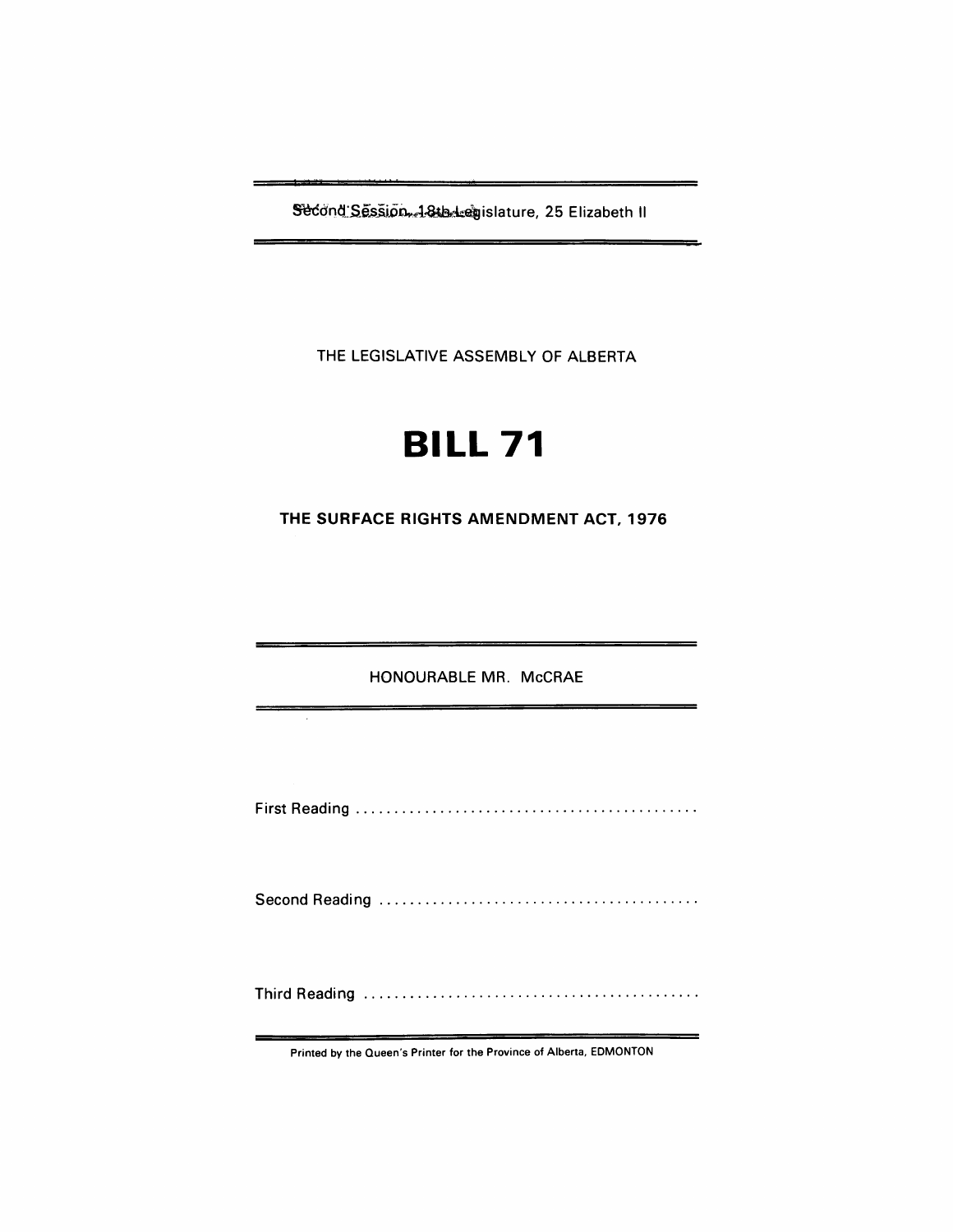Second Session, 18th-leasislature, 25 Elizabeth II

THE LEGISLATIVE ASSEMBLY OF ALBERTA

# **BILL 71**

**THE SURFACE RIGHTS AMENDMENT ACT, 1976** 

HONOURABLE MR. McCRAE

First Reading ............................................ .

Second Reading ......................................... .

Third Reading ........................................... .

Printed by the Queen's Printer for the Province of Alberta, EDMONTON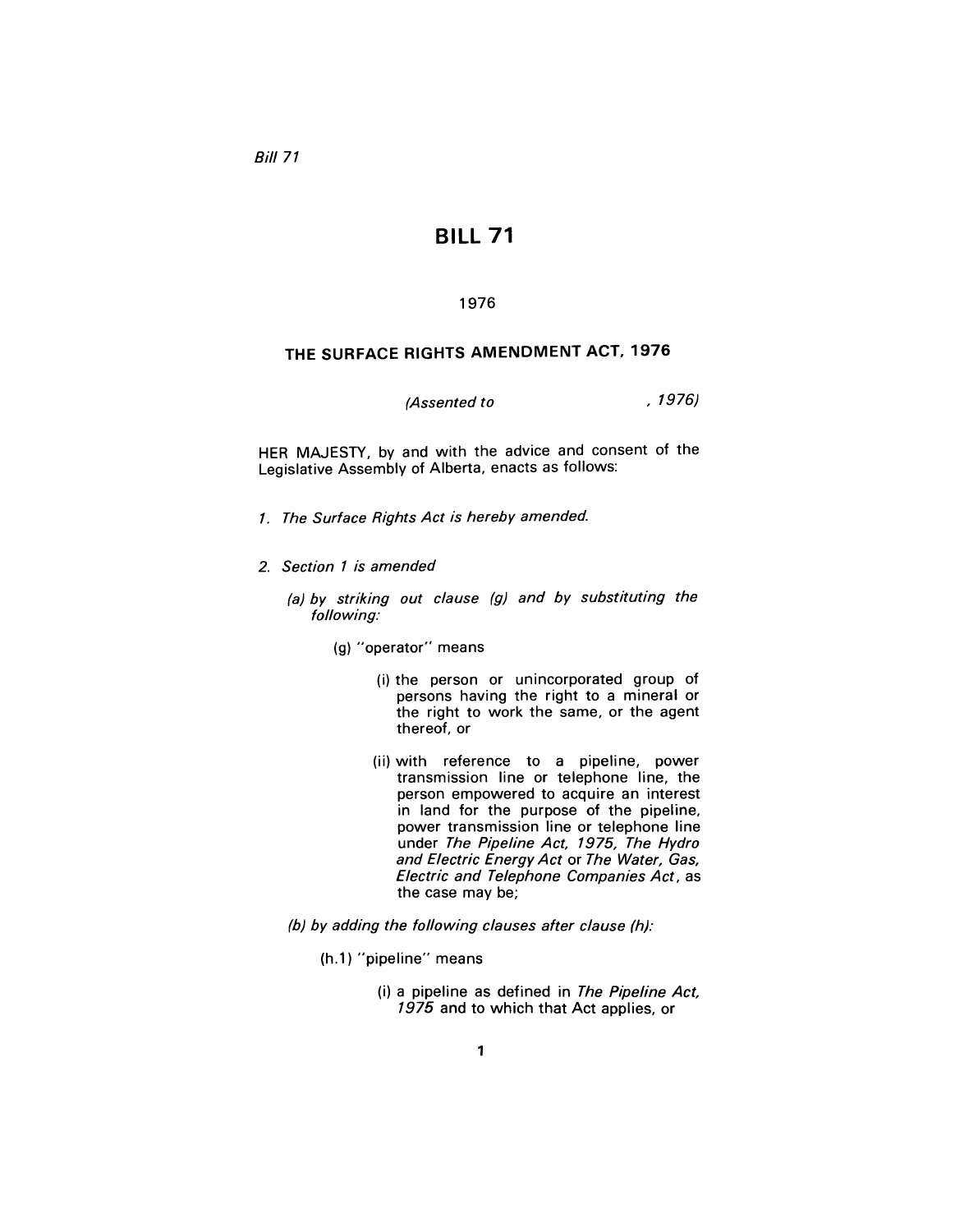Bill 71

## **BILL 71**

### 1976

## **THE SURFACE RIGHTS AMENDMENT ACT, 1976**

(Assented to , 1976)

HER MAJESTY, by and with the advice and consent of the Legislative Assembly of Alberta, enacts as follows:

- 1. The Surface Rights Act is hereby amended.
- 2. Section 1 is amended

(a) by striking out clause (g) and by substituting the following:

- (g) "operator" means
	- (i) the person or unincorporated group of persons having the right to a mineral or the right to work the same, or the agent thereof, or
	- (ii) with reference to a pipeline, power transmission line or telephone line, the person empowered to acquire an interest in land for the purpose of the pipeline, power transmission line or telephone line under The Pipeline Act, 1975, The Hydro and Electric Energy Act or The Water, Gas, Electric and Telephone Companies Act, as the case may be;
- (b) by adding the following clauses after clause (h):
	- (h.1) "pipeline" means
		- (i) a pipeline as defined in The Pipeline Act, 1975 and to which that Act applies, or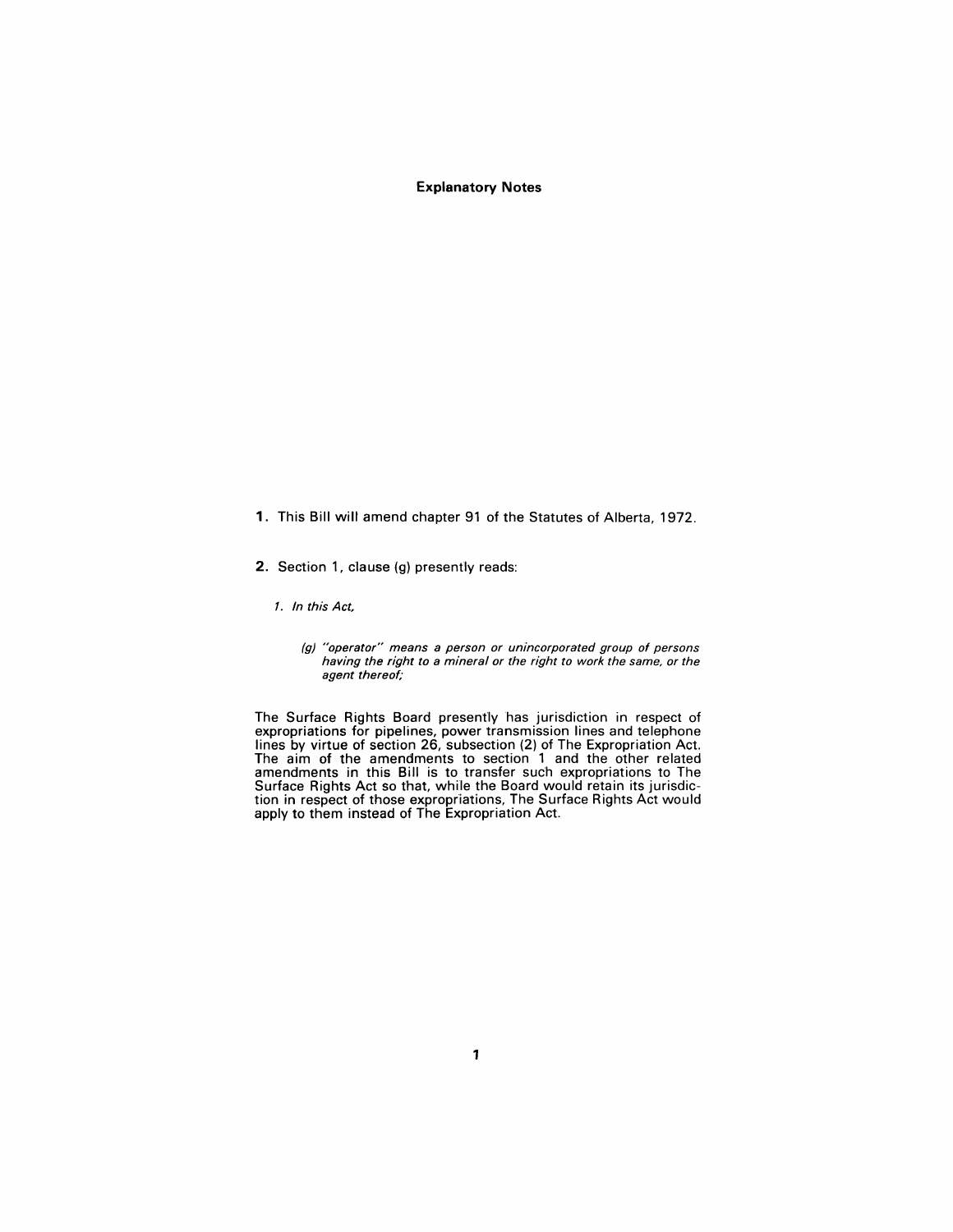#### **Explanatory Notes**

- 1. This Bill wilt amend chapter 91 of the Statutes of Alberta, 1972.
- 2. Section 1, clause (g) presently reads:

1. In this Act,

The Surface Rights Board presently has jurisdiction in respect of expropriations for pipelines, power transmission lines and telephone lines by virtue of section 26, subsection (2) of The Expropriation Act. The aim of the amendments to section 1 and the other related amendments in this Bill is to transfer such expropriations to The Surface Rights Act so that, while the Board would retain its jurisdiction in respect of those expropriations, The Surface Rights Act would apply to them instead of The Expropriation Act.

<sup>(</sup>g) "operator" means a person or unincorporated group of persons having the right to a mineral or the right to work the same, or the agent thereof;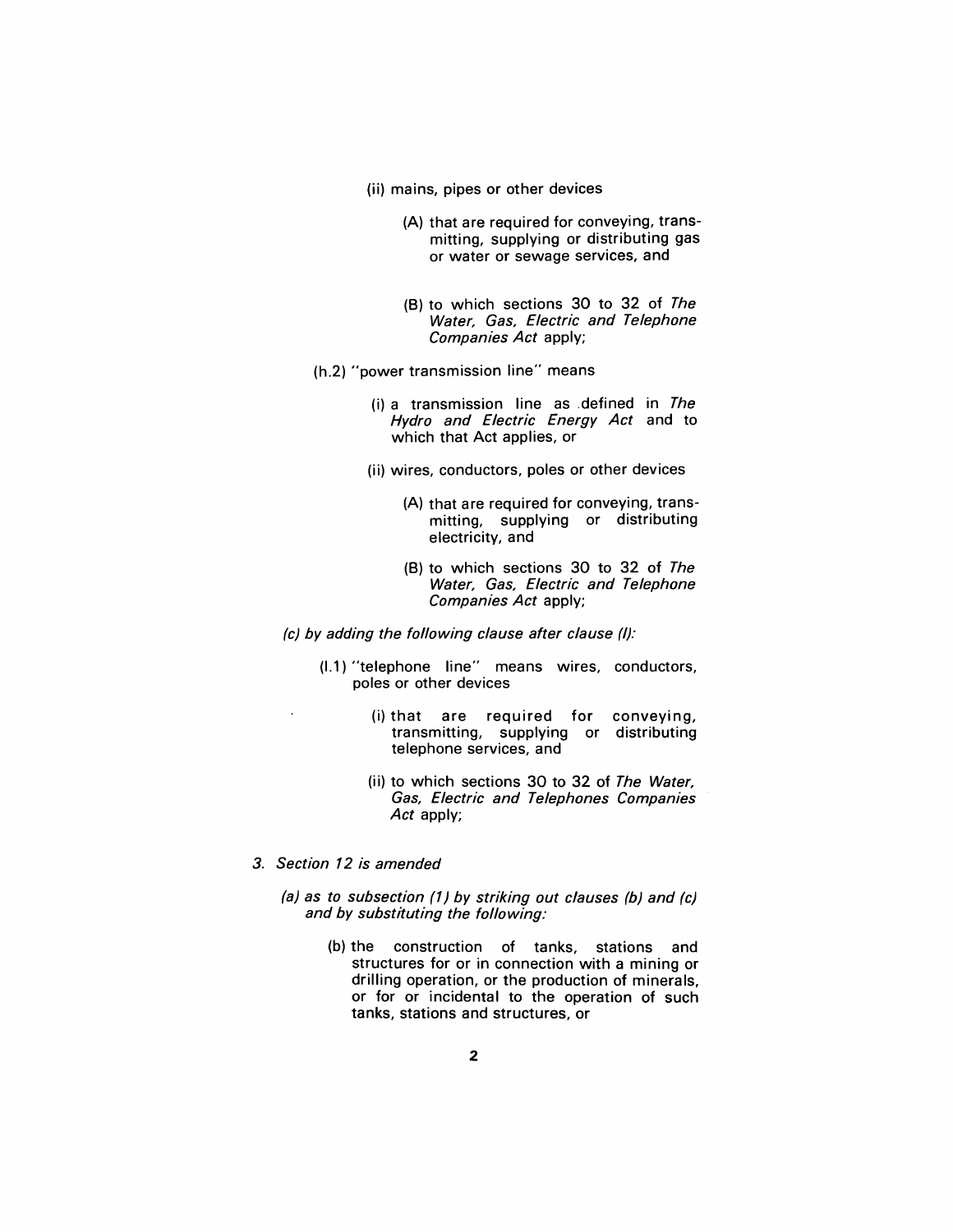- (ii) mains, pipes or other devices
	- (A) that are required for conveying, transmitting, supplying or distributing gas or water or sewage services, and
	- (8) to which sections 30 to 32 of The Water, Gas, Electric and Telephone Companies Act apply;
- (h.2) "power transmission line" means
	- $(i)$  a transmission line as defined in The Hydro and Electric Energy Act and to which that Act applies, or
	- (ii) wires, conductors, poles or other devices
		- (A) that are required for conveying, transmitting, supplying or distributing electricity, and
		- (8) to which sections 30 to 32 of The Water, Gas, Electric and Telephone Companies Act apply;
- (c) by adding the following clause after clause (I):
	- (1.1) "telephone line" means wires, conductors, poles or other devices
		- (i) that are required for conveying, transmitting, supplying or distributing telephone services, and
		- (ii) to which sections 30 to 32 of The Water, Gas, Electric and Telephones Companies Act apply;
- 3. Section 12 is amended
	- (a) as to subsection (1) by striking out clauses (b) and (c) and by substituting the following:
		- (b) the construction of tanks, stations and structures for or in connection with a mining or drilling operation, or the production of minerals, or for or incidental to the operation of such tanks, stations and structures, or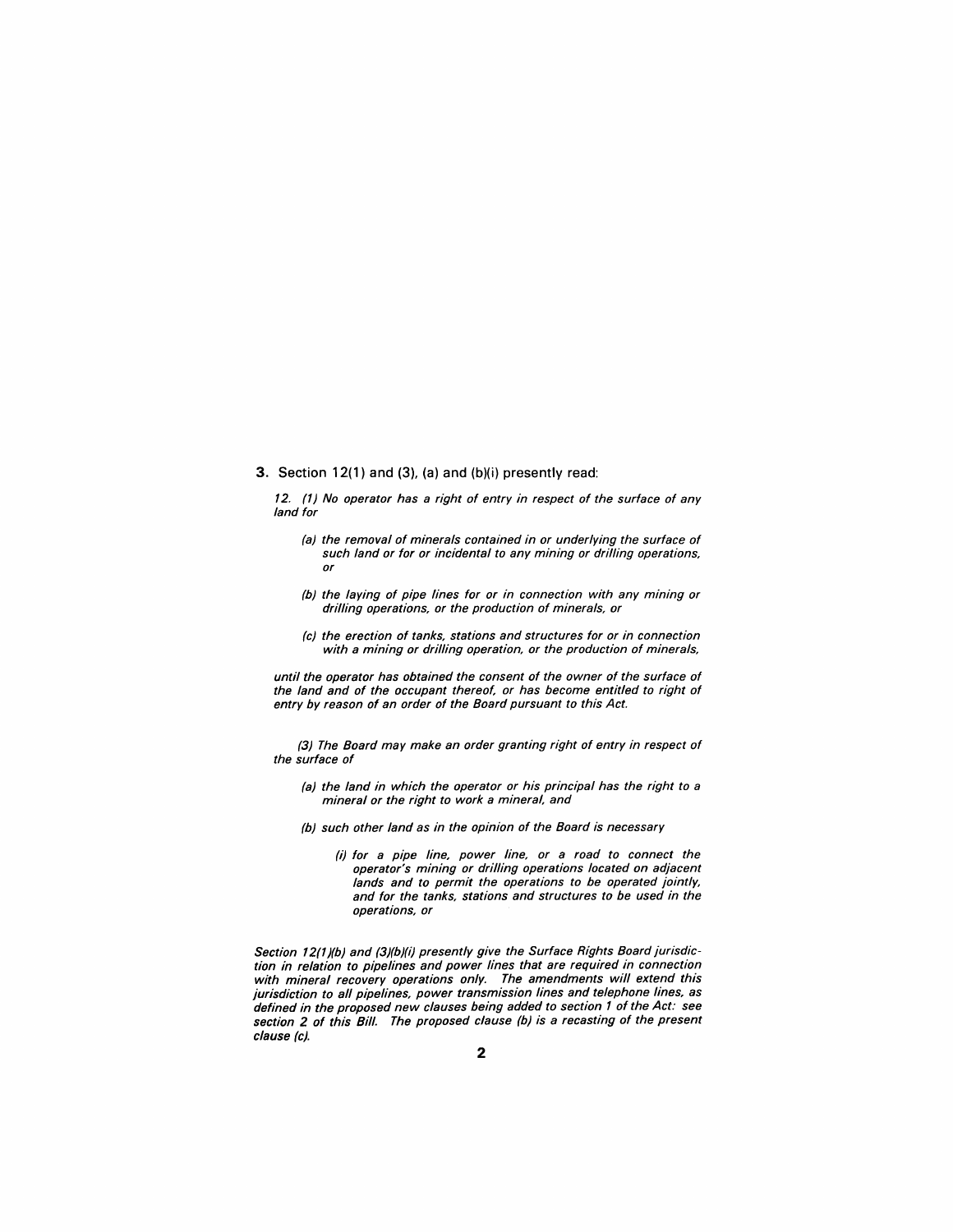#### 3. Section 12(1) and (3), (a) and (b)(i) presently read:

12. (1) No operator has a right of entry in respect of the surface of any land for

- (a) the removal of minerals contained in or underlying the surface of such land or for or incidental to any mining or drilling operations, or
- (b) the laying of pipe lines for or in connection with any mining or drilling operations, or the production of minerals, or
- (c) the erection of tanks, stations and structures for or in connection with a mining or drilling operation, or the production of minerals,

until the operator has obtained the consent of the owner of the surface of the land and of the occupant thereof, or has become entitled to right of entry by reason of an order of the Board pursuant to this Act.

(3) The Board may make an order granting right of entry in respect of the surface of

- (a) the land in which the operator or his principal has the right to a mineral or the right to work a mineral, and
- (b) such other land as in the opinion of the Board is necessary
	- (i) for a pipe line, power line, or a road to connect the operator's mining or drilling operations located on adjacent lands and to permit the operations to be operated jointly, and for the tanks, stations and structures to be used in the operations, or

Section 12(1)(b) and (3)(b)(i) presently give the Surface Rights Board jurisdiction in relation to pipelines and power lines that are required in connection with mineral recovery operations only. The amendments will extend this jurisdiction to all pipelines, power transmission lines and telephone lines, as defined in the proposed new clauses being added to section 1 of the Act: see section 2 of this Bill. The proposed clause (b) is a recasting of the present clause (c).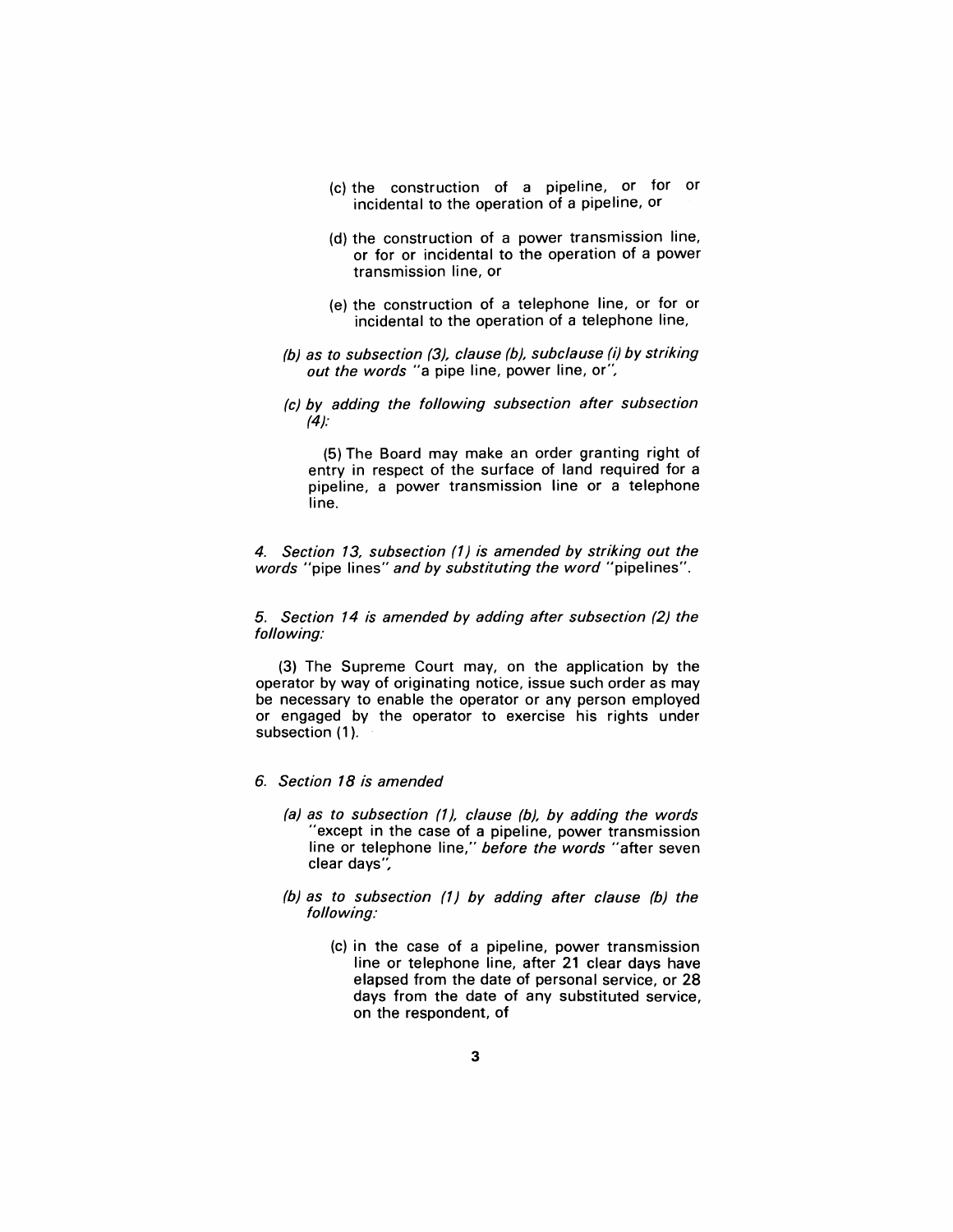- (c) the construction of a pipeline, or for or incidental to the operation of a pipeline, or
- (d) the construction of a power transmission line, or for or incidental to the operation of a power transmission line, or
- (e) the construction of a telephone line, or for or incidental to the operation of a telephone line,
- (b) as to subsection (3), clause (b), subclause (i) by striking out the words "a pipe line, power line, or",
- (c) by adding the following subsection after subsection  $(4)$ :

(5) The Board may make an order granting right of entry in respect of the surface of land required for a pipeline, a power transmission line or a telephone line.

4. Section 13, subsection (1) is amended by striking out the words "pipe lines" and by substituting the word "pipelines".

5. Section 14 is amended by adding after subsection (2) the following:

(3) The Supreme Court may, on the application by the operator by way of originating notice, issue such order as may be necessary to enable the operator or any person employed or engaged by the operator to exercise his rights under subsection (1).

- 6. Section 18 is amended
	- (a) as to subsection (1), clause (b), by adding the words "except in the case of a pipeline, power transmission line or telephone line," before the words "after seven clear days",
	- (b) as to subsection (1) by adding after clause (b) the following:
		- (c) in the case of a pipeline, power transmission line or telephone line, after 21 clear days have elapsed from the date of personal service, or 28 days from the date of any substituted service, on the respondent, of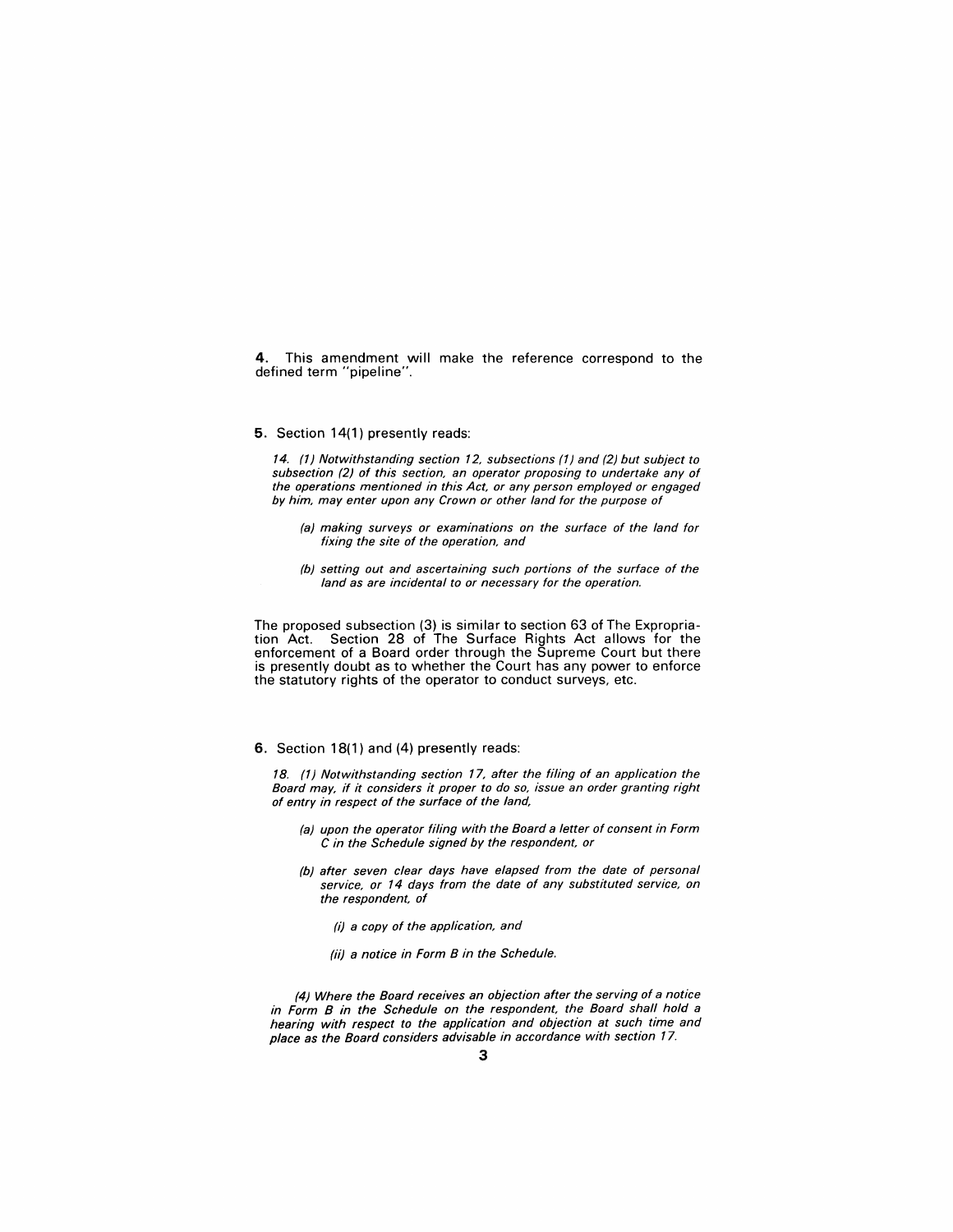4. This amendment will make the reference correspond to the defined term "pipeline".

#### 5. Section 14(1) presently reads:

14. (1) Notwithstanding section 12, subsections (1) and (2) but subject to subsection (2) of this section, an operator proposing to undertake any of the operations mentioned in this Act, or any person employed or engaged by him, may enter upon any Crown or other land for the purpose of

- (a) making surveys or examinations on the surface of the land for fixing the site of the operation, and
- (b) setting out and ascertaining such portions of the surface of the land as are incidental to or necessary for the operation.

The proposed subsection (3) is similar to section 63 of The Expropriation Act. Section 28 of The Surface Rights Act allows for the enforcement of a Board order through the Supreme Court but there is presently doubt as to whether the Court has any power to enforce the statutory rights of the operator to conduct surveys, etc.

6. Section 18(1) and (4) presently reads:

18. (1) Notwithstanding section 17, after the filing of an application the Board may, if it considers it proper to do so, issue an order granting right of entry in respect of the surface of the land,

- (a) upon the operator filing with the Board a letter of consent in Form C in the Schedule signed by the respondent, or
- (b) after seven clear days have elapsed from the date of personal service, or 14 days from the date of any substituted service, on the respondent, of
	- (i) a copy of the application, and
	- (ii) a notice in Form B in the Schedule.

(4) Where the Board receives an objection after the serving of a notice in Form B in the Schedule on the respondent, the Board shall hold a hearing with respect to the application and objection at such time and place as the Board considers advisable in accordance with section 17.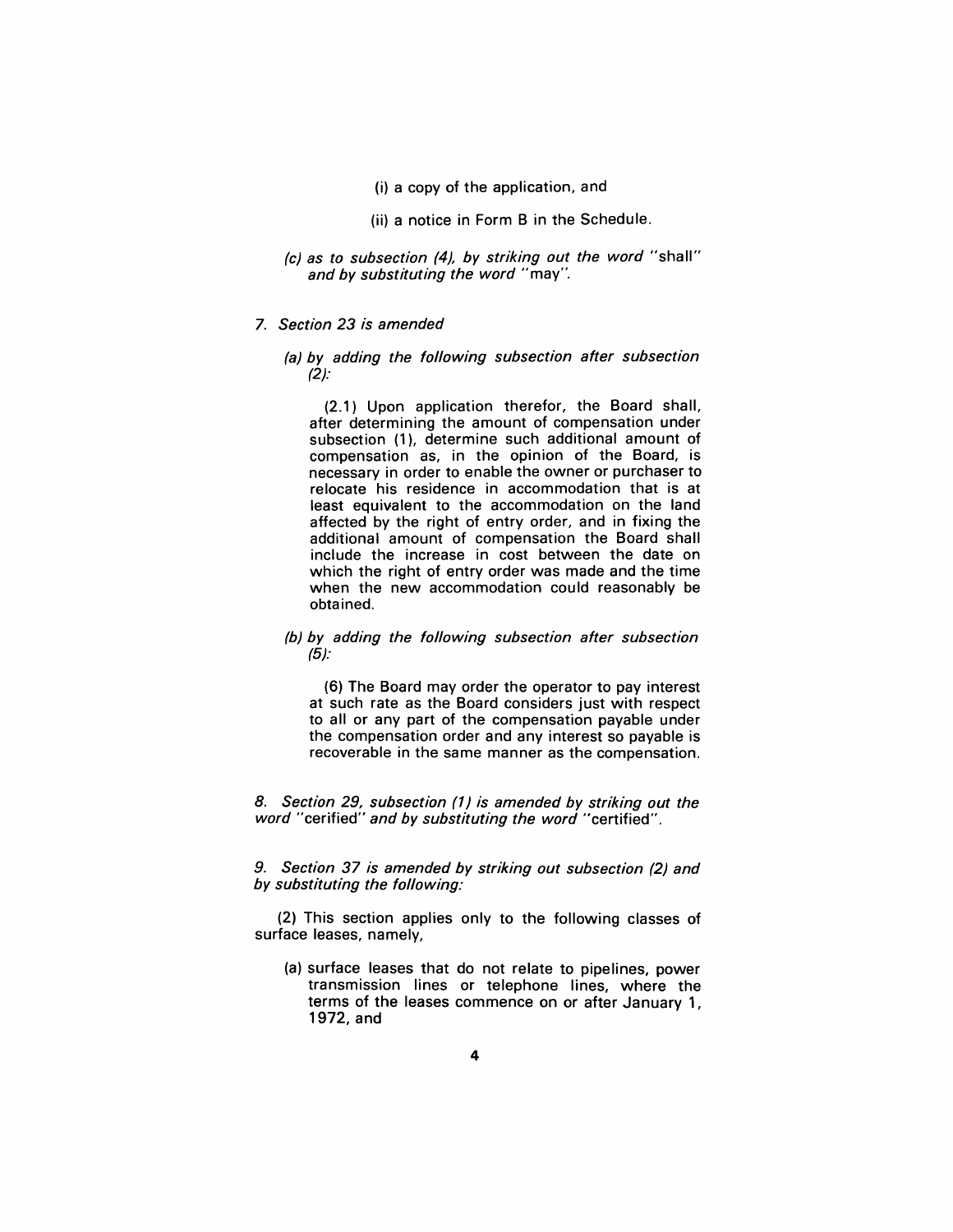(i) a copy of the application, and

(ii) a notice in Form B in the Schedule.

- (c) as to subsection (4), by striking out the word "shall" and by substituting the word "may".
- 7. Section 23 is amended

#### (a) by adding the following subsection after subsection (2):

(2.1) Upon application therefor, the Board shall, after determining the amount of compensation under subsection (1), determine such additional amount of compensation as, in the opinion of the Board, is necessary in order to enable the owner or purchaser to relocate his residence in accommodation that is at least equivalent to the accommodation on the land affected by the right of entry order, and in fixing the additional amount of compensation the Board shall include the increase in cost between the date on which the right of entry order was made and the time when the new accommodation could reasonably be obtained.

#### (b) by adding the following subsection after subsection (5):

(6) The Board may order the operator to pay interest at such rate as the Board considers just with respect to all or any part of the compensation payable under the compensation order and any interest so payable is recoverable in the same manner as the compensation.

8. Section 29, subsection (1) is amended by striking out the word "cerified" and by substituting the word "certified".

9. Section 37 is amended by striking out subsection (2) and by substituting the following:

(2) This section applies only to the following classes of surface leases, namely,

(a) surface leases that do not relate to pipelines, power transmission lines or telephone lines, where the terms of the leases commence on or after January 1, 1972, and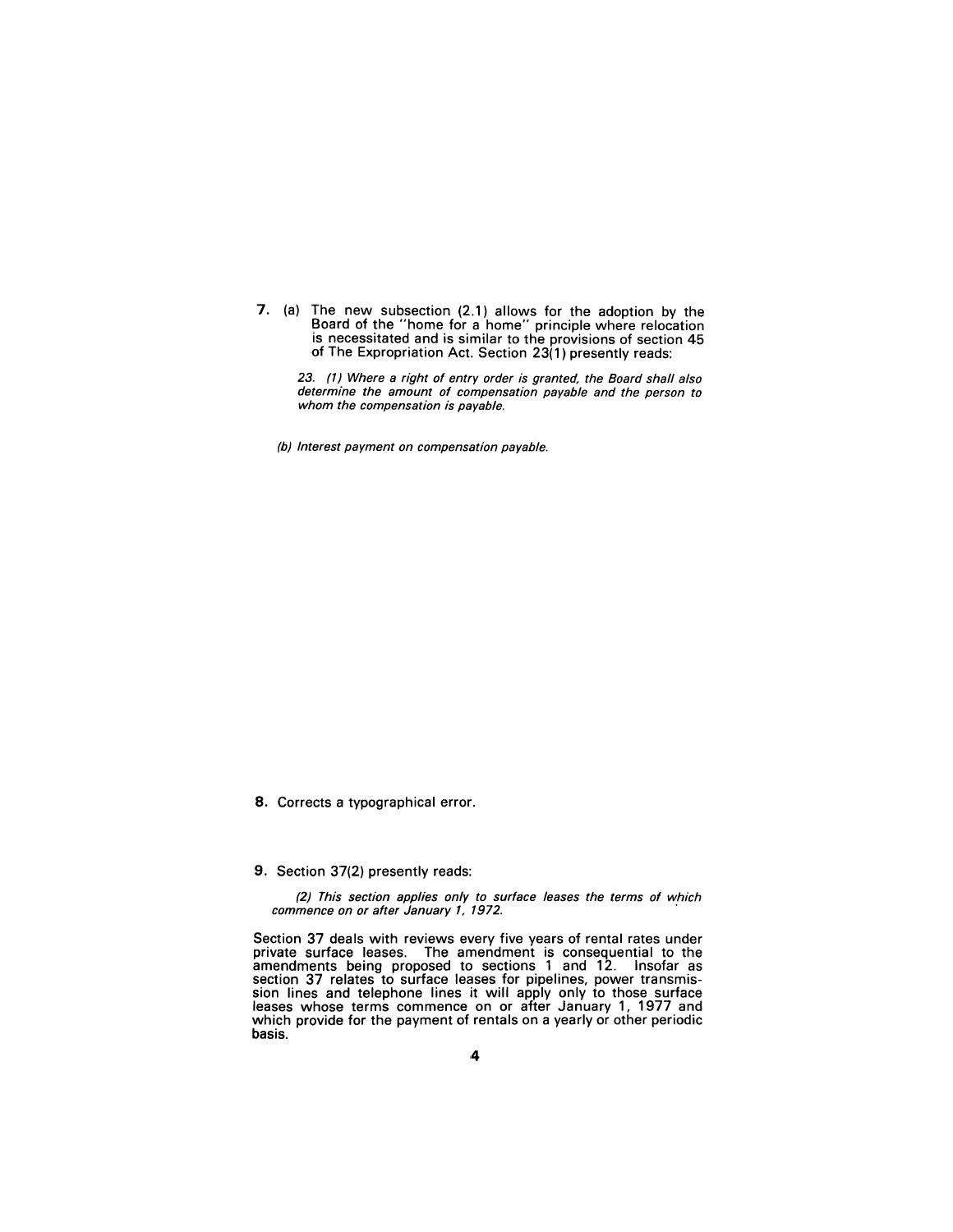7. (a) The new subsection (2.1) allows for the adoption by the Board of the "home for a home" principle where relocation is necessitated and is similar to the provisions of section 45 of The Expropriation Act. Section 23(1) presently reads:

23. (1) Where a right of entry order is granted, the Board shall also determine the amount of compensation payable and the person to whom the compensation is payable.

(b) Interest payment on compensation payable.

8. Corrects a typographical error.

#### 9. Section 37(2) presently reads:

(2) This section applies only to surface leases the terms of which commence on or after January 1, 1972.

Section 37 deals with reviews every five years of rental rates under private surface leases. The amendment is consequential to the amendments being proposed to sections 1 and 12. Insofar as section 37 relates to surface leases for pipelines, power transmission lines and telephone lines it will apply only to those surface leases whose terms commence on or after January 1, 1977 and which provide for the payment of rentals on a yearly or other periodic basis.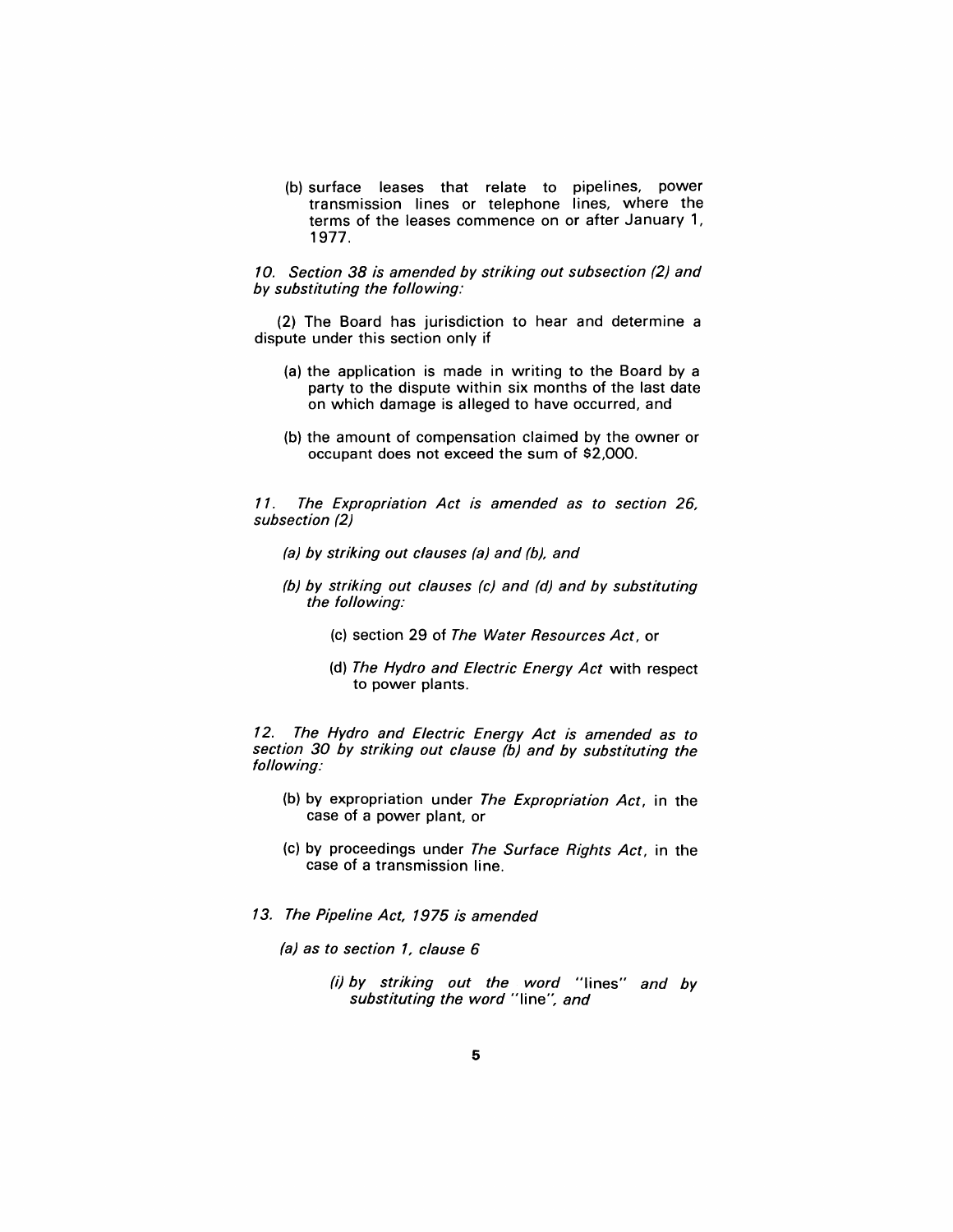(b) surface leases that relate to pipelines, power transmission lines or telephone lines, where the terms of the leases commence on or after January 1, 1977.

#### 10. Section 38 is amended by striking out subsection (2) and by substituting the following:

(2) The Board has jurisdiction to hear and determine a dispute under this section only if

- (a) the application is made in writing to the Board by a party to the dispute within six months of the last date on which damage is alleged to have occurred, and
- (b) the amount of compensation claimed by the owner or occupant does not exceed the sum of \$2,000.

11. The Expropriation Act is amended as to section 26, subsection (2)

- (a) by striking out clauses (a) and (b), and
- (b) by striking out clauses (c) and (d) and by substituting the following:
	- (c) section 29 of The Water Resources Act, or
	- (d) The Hydro and Electric Energy Act with respect to power plants.

12. The Hydro and Electric Energy Act is amended as to section 30 by striking out clause  $(b)$  and by substituting the following:

- (b) by expropriation under The Expropriation Act, in the case of a power plant, or
- (c) by proceedings under The Surface Rights Act, in the case of a transmission line.
- 13. The Pipeline Act, 1975 is amended
	- (a) as to section 1, clause 6
		- (i) by striking out the word "Iines" and by substituting the word "line", and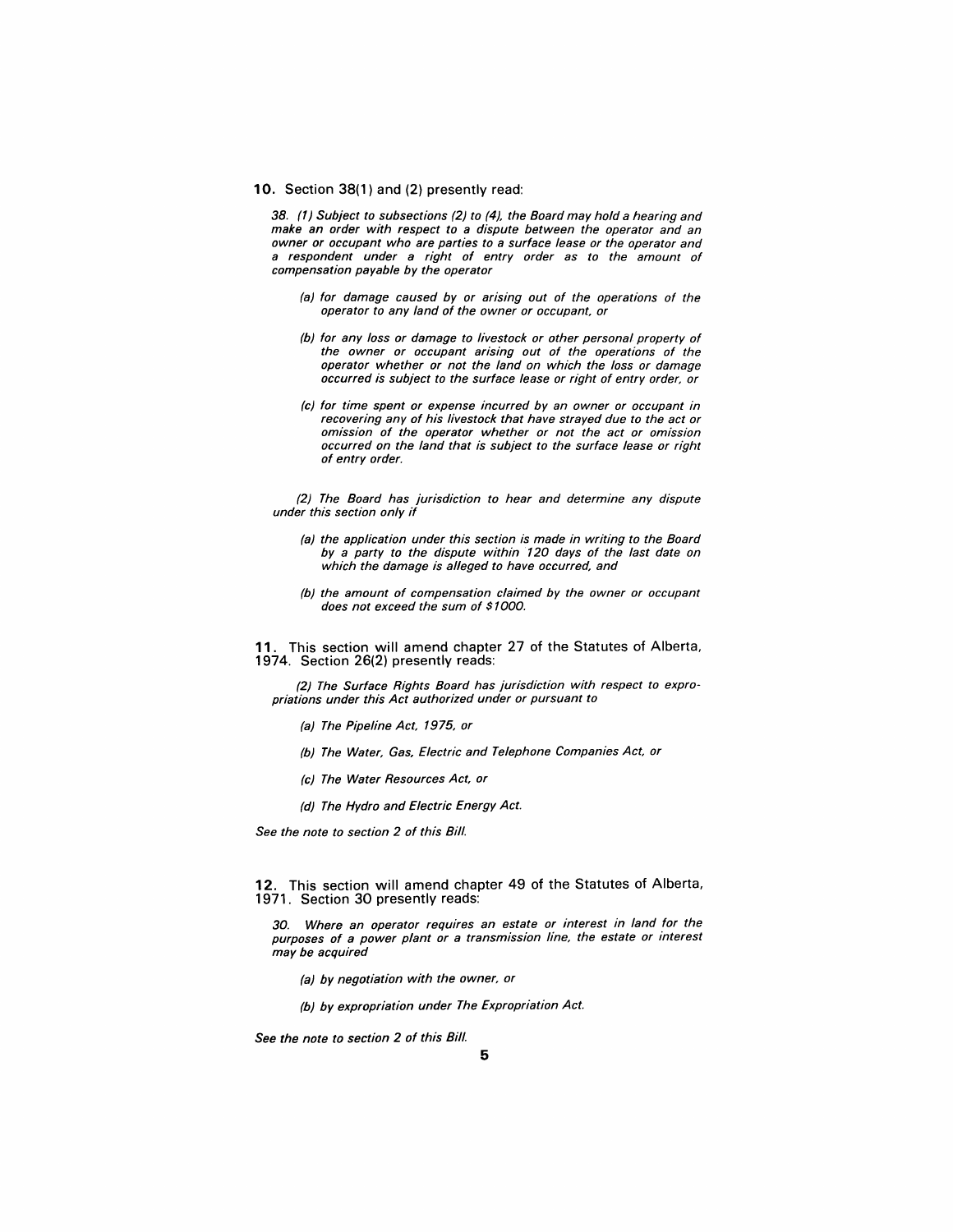#### 10. Section 38(1) and (2) presently read:

38. (1) Subject to subsections (2) to (4), the Board may hold a hearing and make an order with respect to a dispute between the operator and an owner or occupant who are parties to a surface lease or the operator and a respondent under a right of entry order as to the amount of compensation payable by the operator

- (a) for damage caused by or arising out of the operations of the operator to any land of the owner or occupant, or
- (b) for any loss or damage to livestock or other personal property of the owner or occupant arising out of the operations of the operator whether or not the land on which the loss or damage occurred is subject to the surface lease or right of entry order, or
- (c) for time spent or expense incurred by an owner or occupant in recovering any of his livestock that have strayed due to the act or omission of the operator whether or not the act or omission occurred on the land that is subject to the surface lease or right of entry order.

(2) The Board has jurisdiction to hear and determine any dispute under this section only if

- (a) the application under this section is made in writing to the Board by a party to the dispute within 120 days of the last date on which the damage is alleged to have occurred, and
- (b) the amount of compensation claimed by the owner or occupant does not exceed the sum of \$1000.

11. This section will amend chapter 27 of the Statutes of Alberta, 1974. Section 26(2) presently reads:

(2) The Surface Rights Board has jurisdiction with respect to expropriations under this Act authorized under or pursuant to

- (a) The Pipeline Act, 1975, or
- (b) The Water, Gas, Electric and Telephone Companies Act, or
- (c) The Water Resources Act, or
- (d) The Hydro and Electric Energy Act.

See the note to section 2 of this Bill.

12. This section will amend chapter 49 of the Statutes of Alberta, 1971. Section 30 presently reads:

30. Where an operator requires an estate or interest in land for the purposes of a power plant or a transmission line, the estate or interest may be acquired

- (a) by negotiation with the owner, or
- (b) by expropriation under The Expropriation Act.

See the note to section 2 of this Bill.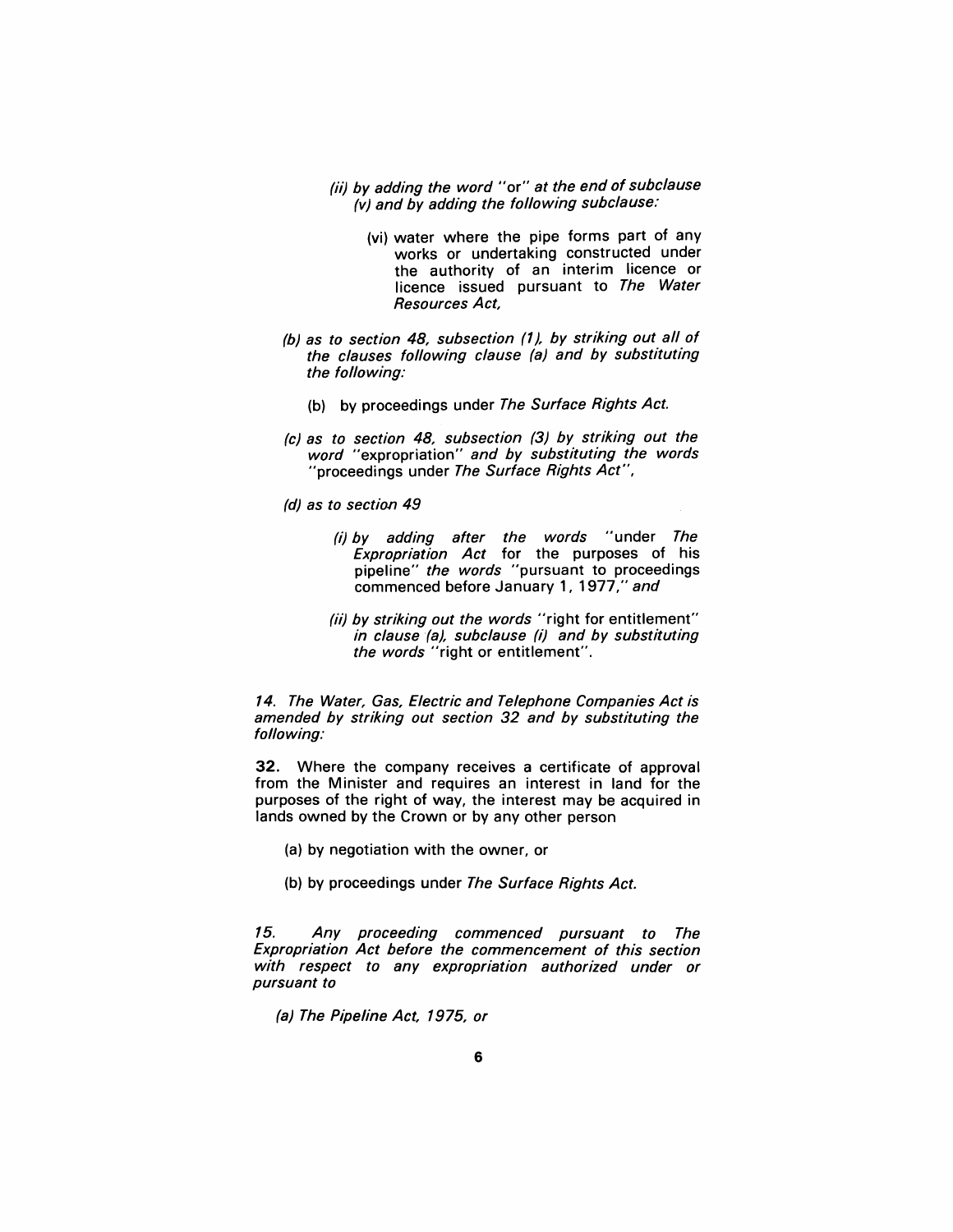- (ii) by adding the word "or" at the end of subclause (v) and by adding the following subclause:
	- (vi) water where the pipe forms part of any works or undertaking constructed under the authority of an interim licence or licence issued pursuant to The Water Resources Act,
- (b) as to section 48, subsection (1), by striking out all of the clauses following clause (a) and by substituting the following:
	- (b) by proceedings under The Surface Rights Act.
- (c) as to section 48, subsection (3) by striking out the word "expropriation" and by substituting the words "proceedings under The Surface Rights Act",
- (d) as to section 49
	- (i) by adding after the words "under The Expropriation Act for the purposes of his pipeline" the words "pursuant to proceedings commenced before January 1, 1977," and
	- (ii) by striking out the words "right for entitlement" in clause (a), subclause (i) and by substituting the words "right or entitlement".

14. The Water, Gas, Electric and Telephone Companies Act is amended by striking out section 32 and by substituting the following:

32. Where the company receives a certificate of approval from the Minister and requires an interest in land for the purposes of the right of way, the interest may be acquired in lands owned by the Crown or by any other person

- (a) by negotiation with the owner, or
- (b) by proceedings under The Surface Rights Act.

15. Any proceeding commenced pursuant to The Expropriation Act before the commencement of this section with respect to any expropriation authorized under or pursuant to

(a) The Pipeline Act, 1975, or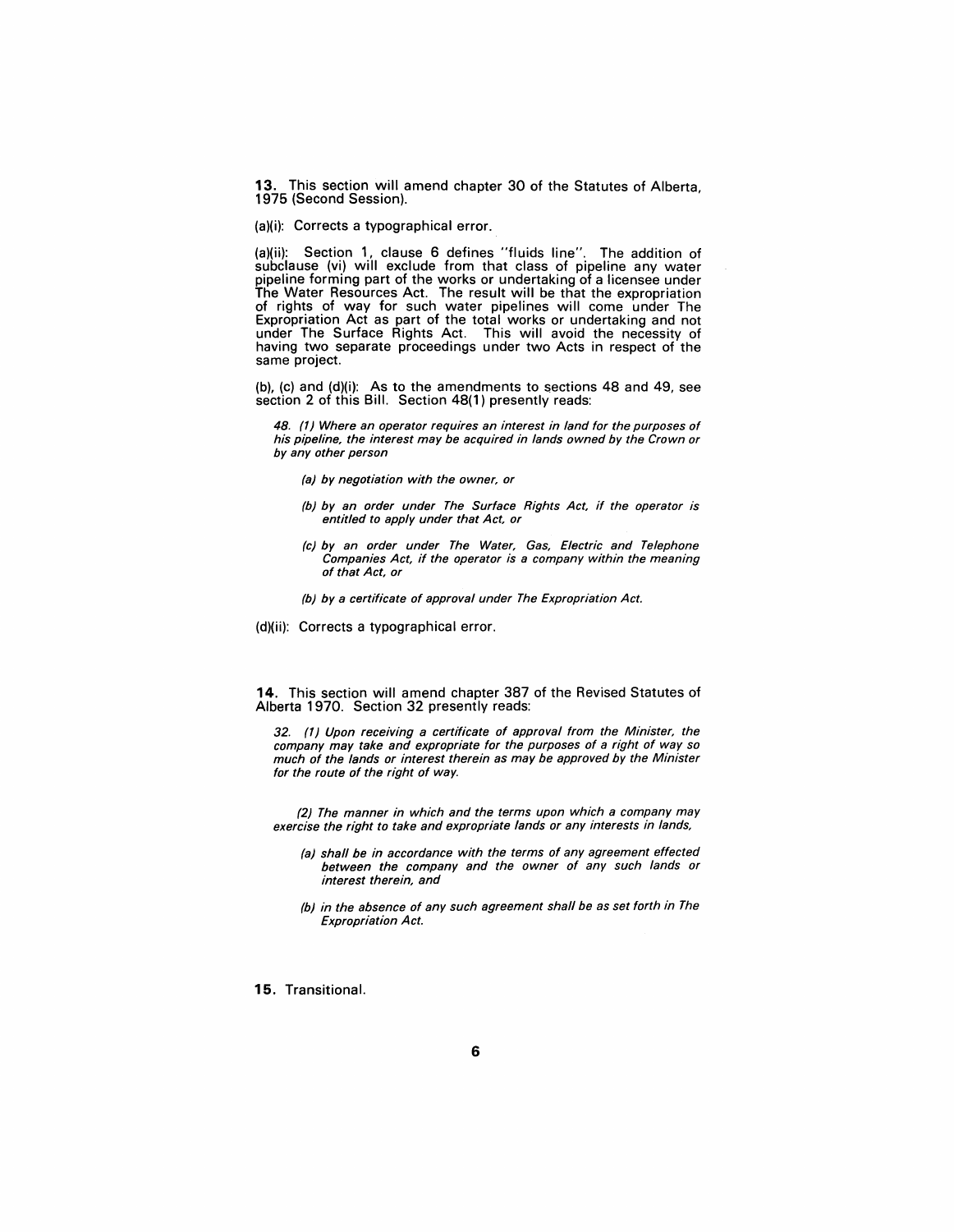13. This section will amend chapter 30 of the Statutes of Alberta, 1975 (Second Session).

(a)(i): Corrects a typographical error.

(a)(ii): Section 1, clause 6 defines "fluids line". The addition of subclause (vi) will exclude from that class of pipeline any water pipeline forming part of the works or undertaking of a licensee under The Water Resources Act. The result will be that the expropriation of rights of way for such water pipelines will come under The Expropriation Act as part of the total works or undertaking and not under The Surface Rights Act. This will avoid the necessity of having two separate proceedings under two Acts in respect of the same project.

(b), (c) and (d)(i): As to the amendments to sections 48 and 49, see section 2 of this Bill. Section 48(1) presently reads:

48. (1) Where an operator requires an interest in land for the purposes of his pipeline, the interest may be acquired in lands owned by the Crown or by any other person

- (a) by negotiation with the owner, or
- (b) by an order under The Surface Rights Act, if the operator is entitled to apply under that Act, or
- (c) by an order under The Water, Gas, Electric and Telephone Companies Act, if the operator is a company within the meaning of that Act, or
- (b) by a certificate of approval under The Expropriation Act.
- (d)(ii): Corrects a typographical error.

14. This section will amend chapter 387 of the Revised Statutes of Alberta 1970. Section 32 presently reads:

32. (1) Upon receiving a certificate of approval from the Minister, the company may take and expropriate for the purposes of a right of way so much of the lands or interest therein as may be approved by the Minister for the route of the right of way.

(2) The manner in which and the terms upon which a company may exercise the right to take and expropriate lands or any interests in lands,

- (a) shall be in accordance with the terms of any agreement effected between the company and the owner of any such lands or interest therein, and
- (b) in the absence of any such agreement shall be as set forth in The Expropriation Act.

15. Transitional.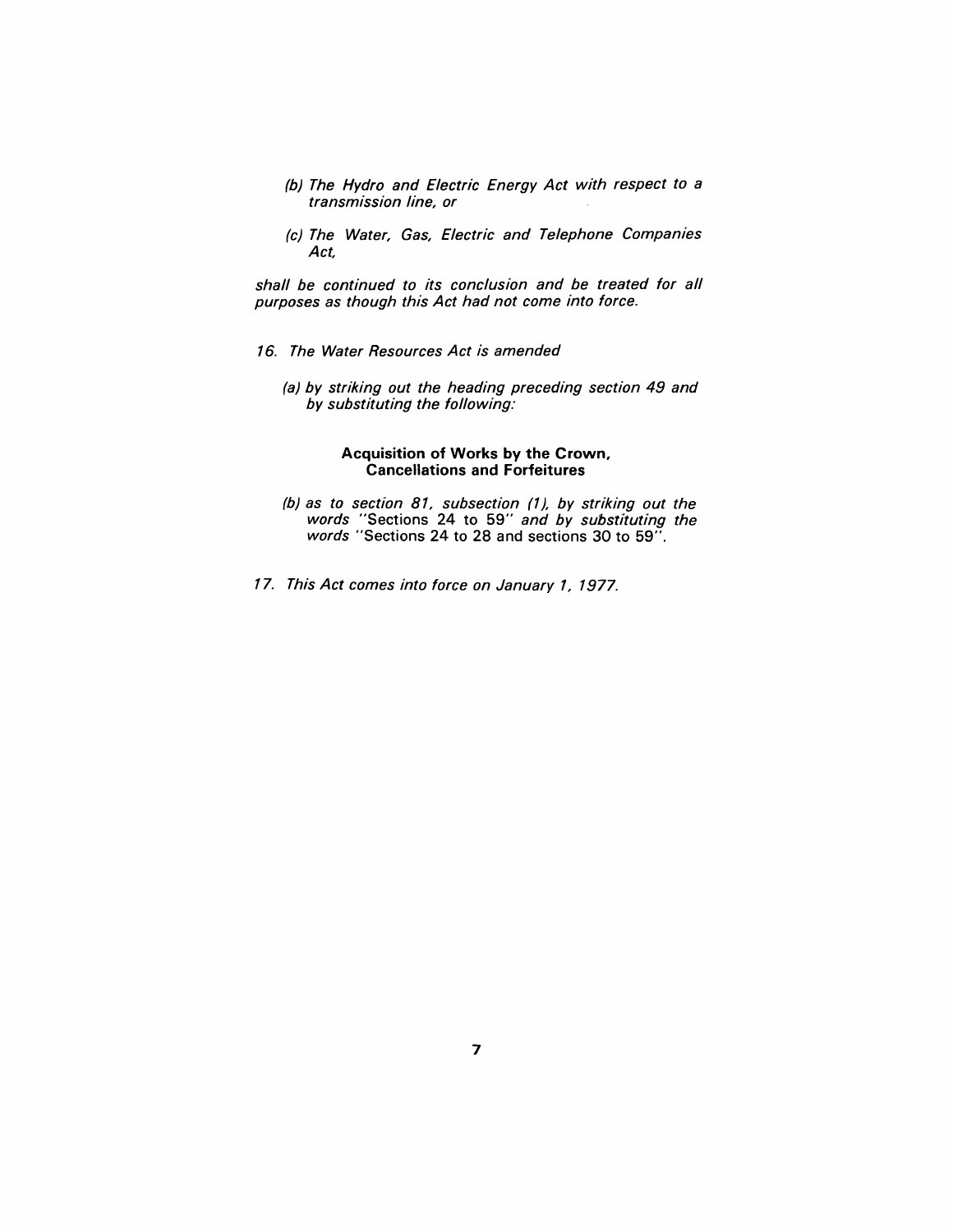- (b) The Hydro and Electric Energy Act with respect to a transmission line, or
- (c) The Water, Gas, Electric and Telephone Companies Act,

shall be continued to its conclusion and be treated for all purposes as though this Act had not come into force.

- 16. The Water Resources Act is amended
	- (a) by striking out the heading preceding section 49 and by substituting the following:

#### **Acquisition of Works by the Crown, Cancellations and Forfeitures**

- (b) as to section 81, subsection (1), by striking out the words "Sections 24 to 59" and by substituting the words "Sections 24 to 28 and sections 30 to 59".
- 17. This Act comes into force on January 1, 1977.